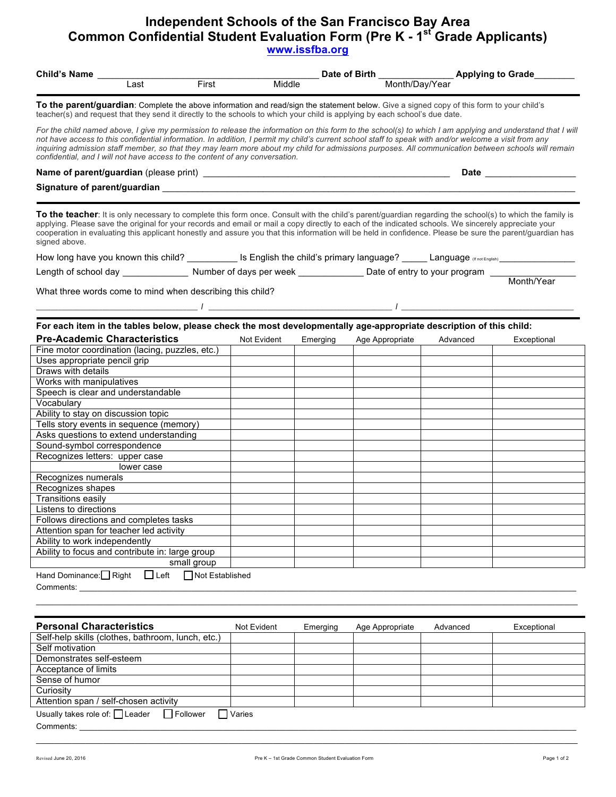## **Independent Schools of the San Francisco Bay Area Common Confidential Student Evaluation Form (Pre K - 1st Grade Applicants) www.issfba.org**

| <b>Child's Name</b>                                                                                                                                                                                                                                                                                                                                                                                                                                                                                                                                        |             |          |                 | Date of Birth __________________ Applying to Grade |                                                                                                                                                                                                                                |  |  |  |
|------------------------------------------------------------------------------------------------------------------------------------------------------------------------------------------------------------------------------------------------------------------------------------------------------------------------------------------------------------------------------------------------------------------------------------------------------------------------------------------------------------------------------------------------------------|-------------|----------|-----------------|----------------------------------------------------|--------------------------------------------------------------------------------------------------------------------------------------------------------------------------------------------------------------------------------|--|--|--|
| First<br>Last                                                                                                                                                                                                                                                                                                                                                                                                                                                                                                                                              | Middle      |          | Month/Day/Year  |                                                    |                                                                                                                                                                                                                                |  |  |  |
| To the parent/guardian: Complete the above information and read/sign the statement below. Give a signed copy of this form to your child's<br>teacher(s) and request that they send it directly to the schools to which your child is applying by each school's due date.                                                                                                                                                                                                                                                                                   |             |          |                 |                                                    |                                                                                                                                                                                                                                |  |  |  |
| For the child named above, I give my permission to release the information on this form to the school(s) to which I am applying and understand that I will<br>not have access to this confidential information. In addition, I permit my child's current school staff to speak with and/or welcome a visit from any<br>inquiring admission staff member, so that they may learn more about my child for admissions purposes. All communication between schools will remain<br>confidential, and I will not have access to the content of any conversation. |             |          |                 |                                                    |                                                                                                                                                                                                                                |  |  |  |
|                                                                                                                                                                                                                                                                                                                                                                                                                                                                                                                                                            |             |          |                 |                                                    | Date the contract of the contract of the contract of the contract of the contract of the contract of the contract of the contract of the contract of the contract of the contract of the contract of the contract of the contr |  |  |  |
|                                                                                                                                                                                                                                                                                                                                                                                                                                                                                                                                                            |             |          |                 |                                                    |                                                                                                                                                                                                                                |  |  |  |
|                                                                                                                                                                                                                                                                                                                                                                                                                                                                                                                                                            |             |          |                 |                                                    |                                                                                                                                                                                                                                |  |  |  |
| To the teacher: It is only necessary to complete this form once. Consult with the child's parent/guardian regarding the school(s) to which the family is<br>applying. Please save the original for your records and email or mail a copy directly to each of the indicated schools. We sincerely appreciate your<br>cooperation in evaluating this applicant honestly and assure you that this information will be held in confidence. Please be sure the parent/guardian has<br>signed above.                                                             |             |          |                 |                                                    |                                                                                                                                                                                                                                |  |  |  |
|                                                                                                                                                                                                                                                                                                                                                                                                                                                                                                                                                            |             |          |                 |                                                    |                                                                                                                                                                                                                                |  |  |  |
| Length of school day _______________________ Number of days per week __________________ Date of entry to your program ___________                                                                                                                                                                                                                                                                                                                                                                                                                          |             |          |                 |                                                    |                                                                                                                                                                                                                                |  |  |  |
|                                                                                                                                                                                                                                                                                                                                                                                                                                                                                                                                                            |             |          |                 |                                                    | Month/Year                                                                                                                                                                                                                     |  |  |  |
| What three words come to mind when describing this child?                                                                                                                                                                                                                                                                                                                                                                                                                                                                                                  |             |          |                 |                                                    |                                                                                                                                                                                                                                |  |  |  |
|                                                                                                                                                                                                                                                                                                                                                                                                                                                                                                                                                            |             |          |                 |                                                    |                                                                                                                                                                                                                                |  |  |  |
|                                                                                                                                                                                                                                                                                                                                                                                                                                                                                                                                                            |             |          |                 |                                                    |                                                                                                                                                                                                                                |  |  |  |
| For each item in the tables below, please check the most developmentally age-appropriate description of this child:                                                                                                                                                                                                                                                                                                                                                                                                                                        |             |          |                 |                                                    |                                                                                                                                                                                                                                |  |  |  |
| <b>Pre-Academic Characteristics</b>                                                                                                                                                                                                                                                                                                                                                                                                                                                                                                                        | Not Evident | Emerging | Age Appropriate | Advanced                                           | Exceptional                                                                                                                                                                                                                    |  |  |  |
| Fine motor coordination (lacing, puzzles, etc.)                                                                                                                                                                                                                                                                                                                                                                                                                                                                                                            |             |          |                 |                                                    |                                                                                                                                                                                                                                |  |  |  |
| Uses appropriate pencil grip                                                                                                                                                                                                                                                                                                                                                                                                                                                                                                                               |             |          |                 |                                                    |                                                                                                                                                                                                                                |  |  |  |
| Draws with details                                                                                                                                                                                                                                                                                                                                                                                                                                                                                                                                         |             |          |                 |                                                    |                                                                                                                                                                                                                                |  |  |  |
| Works with manipulatives                                                                                                                                                                                                                                                                                                                                                                                                                                                                                                                                   |             |          |                 |                                                    |                                                                                                                                                                                                                                |  |  |  |
| Speech is clear and understandable                                                                                                                                                                                                                                                                                                                                                                                                                                                                                                                         |             |          |                 |                                                    |                                                                                                                                                                                                                                |  |  |  |
| Vocabulary                                                                                                                                                                                                                                                                                                                                                                                                                                                                                                                                                 |             |          |                 |                                                    |                                                                                                                                                                                                                                |  |  |  |
| Ability to stay on discussion topic                                                                                                                                                                                                                                                                                                                                                                                                                                                                                                                        |             |          |                 |                                                    |                                                                                                                                                                                                                                |  |  |  |
| Tells story events in sequence (memory)                                                                                                                                                                                                                                                                                                                                                                                                                                                                                                                    |             |          |                 |                                                    |                                                                                                                                                                                                                                |  |  |  |
| Asks questions to extend understanding                                                                                                                                                                                                                                                                                                                                                                                                                                                                                                                     |             |          |                 |                                                    |                                                                                                                                                                                                                                |  |  |  |
| Sound-symbol correspondence                                                                                                                                                                                                                                                                                                                                                                                                                                                                                                                                |             |          |                 |                                                    |                                                                                                                                                                                                                                |  |  |  |
| Recognizes letters: upper case                                                                                                                                                                                                                                                                                                                                                                                                                                                                                                                             |             |          |                 |                                                    |                                                                                                                                                                                                                                |  |  |  |
| lower case                                                                                                                                                                                                                                                                                                                                                                                                                                                                                                                                                 |             |          |                 |                                                    |                                                                                                                                                                                                                                |  |  |  |
| Recognizes numerals                                                                                                                                                                                                                                                                                                                                                                                                                                                                                                                                        |             |          |                 |                                                    |                                                                                                                                                                                                                                |  |  |  |
| Recognizes shapes                                                                                                                                                                                                                                                                                                                                                                                                                                                                                                                                          |             |          |                 |                                                    |                                                                                                                                                                                                                                |  |  |  |
| <b>Transitions easily</b>                                                                                                                                                                                                                                                                                                                                                                                                                                                                                                                                  |             |          |                 |                                                    |                                                                                                                                                                                                                                |  |  |  |
| Listens to directions                                                                                                                                                                                                                                                                                                                                                                                                                                                                                                                                      |             |          |                 |                                                    |                                                                                                                                                                                                                                |  |  |  |
| Follows directions and completes tasks                                                                                                                                                                                                                                                                                                                                                                                                                                                                                                                     |             |          |                 |                                                    |                                                                                                                                                                                                                                |  |  |  |
| Attention span for teacher led activity                                                                                                                                                                                                                                                                                                                                                                                                                                                                                                                    |             |          |                 |                                                    |                                                                                                                                                                                                                                |  |  |  |
| Ability to work independently                                                                                                                                                                                                                                                                                                                                                                                                                                                                                                                              |             |          |                 |                                                    |                                                                                                                                                                                                                                |  |  |  |
| Ability to focus and contribute in: large group                                                                                                                                                                                                                                                                                                                                                                                                                                                                                                            |             |          |                 |                                                    |                                                                                                                                                                                                                                |  |  |  |
| small group                                                                                                                                                                                                                                                                                                                                                                                                                                                                                                                                                |             |          |                 |                                                    |                                                                                                                                                                                                                                |  |  |  |
| $\Box$ Left<br>□ Not Established<br>Hand Dominance: Right                                                                                                                                                                                                                                                                                                                                                                                                                                                                                                  |             |          |                 |                                                    |                                                                                                                                                                                                                                |  |  |  |
| Comments:                                                                                                                                                                                                                                                                                                                                                                                                                                                                                                                                                  |             |          |                 |                                                    |                                                                                                                                                                                                                                |  |  |  |
|                                                                                                                                                                                                                                                                                                                                                                                                                                                                                                                                                            |             |          |                 |                                                    |                                                                                                                                                                                                                                |  |  |  |
|                                                                                                                                                                                                                                                                                                                                                                                                                                                                                                                                                            |             |          |                 |                                                    |                                                                                                                                                                                                                                |  |  |  |
|                                                                                                                                                                                                                                                                                                                                                                                                                                                                                                                                                            |             |          |                 |                                                    |                                                                                                                                                                                                                                |  |  |  |
| <b>Personal Characteristics</b>                                                                                                                                                                                                                                                                                                                                                                                                                                                                                                                            | Not Evident | Emerging | Age Appropriate | Advanced                                           | Exceptional                                                                                                                                                                                                                    |  |  |  |
| Self-help skills (clothes, bathroom, lunch, etc.)                                                                                                                                                                                                                                                                                                                                                                                                                                                                                                          |             |          |                 |                                                    |                                                                                                                                                                                                                                |  |  |  |
| Self motivation                                                                                                                                                                                                                                                                                                                                                                                                                                                                                                                                            |             |          |                 |                                                    |                                                                                                                                                                                                                                |  |  |  |

| Self-help skills (clothes, bathroom, lunch, etc.)    |                |  |  |
|------------------------------------------------------|----------------|--|--|
| Self motivation                                      |                |  |  |
| Demonstrates self-esteem                             |                |  |  |
| Acceptance of limits                                 |                |  |  |
| Sense of humor                                       |                |  |  |
| Curiosity                                            |                |  |  |
| Attention span / self-chosen activity                |                |  |  |
| Usually takes role of: $\Box$ Leader $\Box$ Follower | $\prod$ Varies |  |  |
| Comments:                                            |                |  |  |

\_\_\_\_\_\_\_\_\_\_\_\_\_\_\_\_\_\_\_\_\_\_\_\_\_\_\_\_\_\_\_\_\_\_\_\_\_\_\_\_\_\_\_\_\_\_\_\_\_\_\_\_\_\_\_\_\_\_\_\_\_\_\_\_\_\_\_\_\_\_\_\_\_\_\_\_\_\_\_\_\_\_\_\_\_\_\_\_\_\_\_\_\_\_\_\_\_\_\_\_\_\_\_\_\_\_\_\_\_\_\_\_\_\_\_\_\_\_\_\_\_